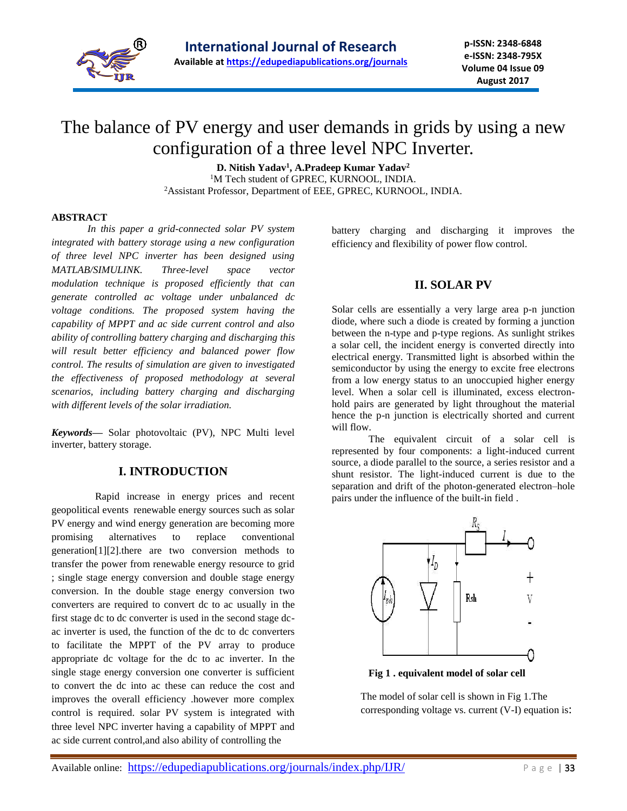

**p-ISSN: 2348-6848 e-ISSN: 2348-795X Volume 04 Issue 09 August 2017**

# The balance of PV energy and user demands in grids by using a new configuration of a three level NPC Inverter.

**D. Nitish Yadav<sup>1</sup> , A.Pradeep Kumar Yadav<sup>2</sup>** <sup>1</sup>M Tech student of GPREC, KURNOOL, INDIA. <sup>2</sup>Assistant Professor, Department of EEE, GPREC, KURNOOL, INDIA.

#### **ABSTRACT**

 *In this paper a grid-connected solar PV system integrated with battery storage using a new configuration of three level NPC inverter has been designed using MATLAB/SIMULINK. Three-level space vector modulation technique is proposed efficiently that can generate controlled ac voltage under unbalanced dc voltage conditions. The proposed system having the capability of MPPT and ac side current control and also ability of controlling battery charging and discharging this will result better efficiency and balanced power flow control. The results of simulation are given to investigated the effectiveness of proposed methodology at several scenarios, including battery charging and discharging with different levels of the solar irradiation.*

*Keywords***—** Solar photovoltaic (PV), NPC Multi level inverter, battery storage.

#### **I. INTRODUCTION**

 Rapid increase in energy prices and recent geopolitical events renewable energy sources such as solar PV energy and wind energy generation are becoming more promising alternatives to replace conventional generation[1][2].there are two conversion methods to transfer the power from renewable energy resource to grid ; single stage energy conversion and double stage energy conversion. In the double stage energy conversion two converters are required to convert dc to ac usually in the first stage dc to dc converter is used in the second stage dcac inverter is used, the function of the dc to dc converters to facilitate the MPPT of the PV array to produce appropriate dc voltage for the dc to ac inverter. In the single stage energy conversion one converter is sufficient to convert the dc into ac these can reduce the cost and improves the overall efficiency .however more complex control is required. solar PV system is integrated with three level NPC inverter having a capability of MPPT and ac side current control,and also ability of controlling the

battery charging and discharging it improves the efficiency and flexibility of power flow control.

## **II. SOLAR PV**

Solar cells are essentially a very large area p-n junction diode, where such a diode is created by forming a junction between the n-type and p-type regions. As sunlight strikes a solar cell, the incident energy is converted directly into electrical energy. Transmitted light is absorbed within the semiconductor by using the energy to excite free electrons from a low energy status to an unoccupied higher energy level. When a solar cell is illuminated, excess electronhold pairs are generated by light throughout the material hence the p-n junction is electrically shorted and current will flow.

The equivalent circuit of a solar cell is represented by four components: a light-induced current source, a diode parallel to the source, a series resistor and a shunt resistor. The light-induced current is due to the separation and drift of the photon-generated electron–hole pairs under the influence of the built-in field .



**Fig 1 . equivalent model of solar cell**

The model of solar cell is shown in Fig 1.The corresponding voltage vs. current (V-I) equation is: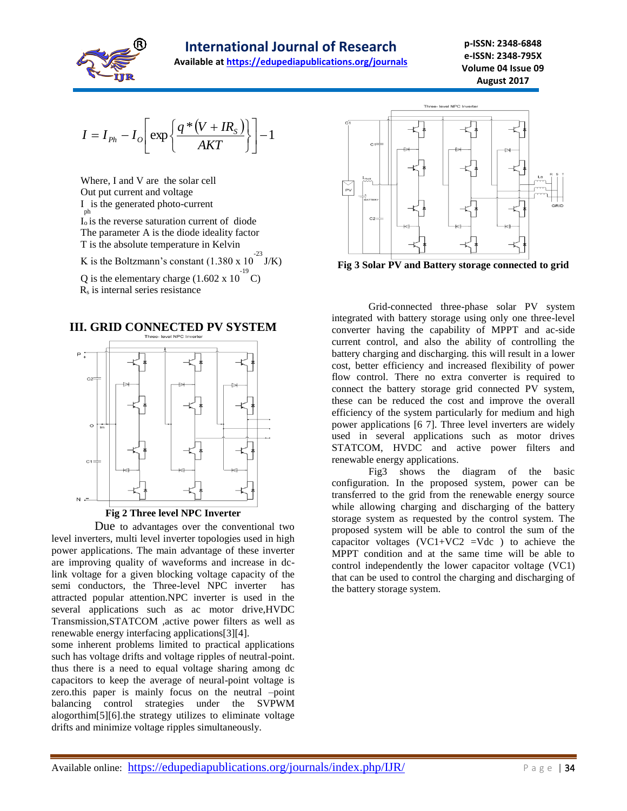

**Available at<https://edupediapublications.org/journals>**

$$
I = I_{Ph} - I_o \left[ \exp \left\{ \frac{q * (V + IR_s)}{AKT} \right\} \right] - 1
$$

Where, I and V are the solar cell Out put current and voltage I is the generated photo-current ph  $\overline{I}_0$  is the reverse saturation current of diode The parameter A is the diode ideality factor T is the absolute temperature in Kelvin K is the Boltzmann's constant  $(1.380 \times 10^{-23} \text{ J/K})$ 

Q is the elementary charge  $(1.602 \times 10^{-19} \text{ C})$ R<sup>s</sup> is internal series resistance





 Due to advantages over the conventional two level inverters, multi level inverter topologies used in high power applications. The main advantage of these inverter are improving quality of waveforms and increase in dclink voltage for a given blocking voltage capacity of the semi conductors, the Three-level NPC inverter has attracted popular attention.NPC inverter is used in the several applications such as ac motor drive,HVDC Transmission,STATCOM ,active power filters as well as renewable energy interfacing applications[3][4].

some inherent problems limited to practical applications such has voltage drifts and voltage ripples of neutral-point. thus there is a need to equal voltage sharing among dc capacitors to keep the average of neural-point voltage is zero.this paper is mainly focus on the neutral –point balancing control strategies under the SVPWM alogorthim[5][6].the strategy utilizes to eliminate voltage drifts and minimize voltage ripples simultaneously.



**Fig 3 Solar PV and Battery storage connected to grid** 

Grid-connected three-phase solar PV system integrated with battery storage using only one three-level converter having the capability of MPPT and ac-side current control, and also the ability of controlling the battery charging and discharging. this will result in a lower cost, better efficiency and increased flexibility of power flow control. There no extra converter is required to connect the battery storage grid connected PV system, these can be reduced the cost and improve the overall efficiency of the system particularly for medium and high power applications [6 7]. Three level inverters are widely used in several applications such as motor drives STATCOM, HVDC and active power filters and renewable energy applications.

Fig3 shows the diagram of the basic configuration. In the proposed system, power can be transferred to the grid from the renewable energy source while allowing charging and discharging of the battery storage system as requested by the control system. The proposed system will be able to control the sum of the capacitor voltages  $(VC1+VC2 = Vdc)$  to achieve the MPPT condition and at the same time will be able to control independently the lower capacitor voltage (VC1) that can be used to control the charging and discharging of the battery storage system.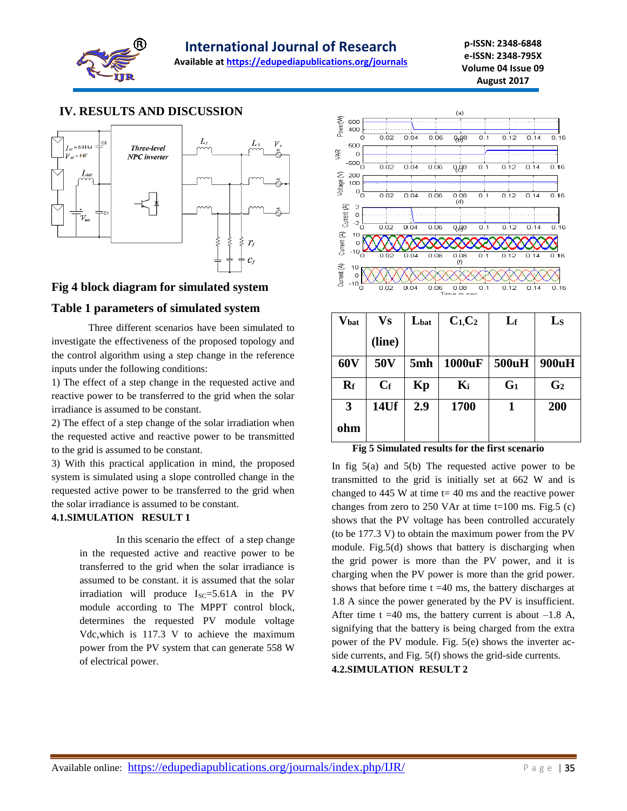

**Available at<https://edupediapublications.org/journals>**

## **IV. RESULTS AND DISCUSSION**



## **Fig 4 block diagram for simulated system**

## **Table 1 parameters of simulated system**

Three different scenarios have been simulated to investigate the effectiveness of the proposed topology and the control algorithm using a step change in the reference inputs under the following conditions:

1) The effect of a step change in the requested active and reactive power to be transferred to the grid when the solar irradiance is assumed to be constant.

2) The effect of a step change of the solar irradiation when the requested active and reactive power to be transmitted to the grid is assumed to be constant.

3) With this practical application in mind, the proposed system is simulated using a slope controlled change in the requested active power to be transferred to the grid when the solar irradiance is assumed to be constant.

## **4.1.SIMULATION RESULT 1**

In this scenario the effect of a step change in the requested active and reactive power to be transferred to the grid when the solar irradiance is assumed to be constant. it is assumed that the solar irradiation will produce  $I_{SC} = 5.61A$  in the PV module according to The MPPT control block, determines the requested PV module voltage Vdc,which is 117.3 V to achieve the maximum power from the PV system that can generate 558 W of electrical power.



| $\mathbf{V_{bat}}$ | Vs              | Lbat | $C_1, C_2$ | $L_{\rm f}$    | $\mathbf{L}_{\mathbf{S}}$ |
|--------------------|-----------------|------|------------|----------------|---------------------------|
|                    | (line)          |      |            |                |                           |
| 60V                | 50 <sub>V</sub> | 5mh  | 1000uF     | 500uH          | 900uH                     |
| $R_f$              | $C_f$           | Kp   | $K_i$      | G <sub>1</sub> | G <sub>2</sub>            |
| 3                  | 14Uf            | 2.9  | 1700       | 1              | 200                       |
| ohm                |                 |      |            |                |                           |

**Fig 5 Simulated results for the first scenario**

In fig  $5(a)$  and  $5(b)$  The requested active power to be transmitted to the grid is initially set at 662 W and is changed to  $445$  W at time t= 40 ms and the reactive power changes from zero to  $250$  VAr at time t=100 ms. Fig.5 (c) shows that the PV voltage has been controlled accurately (to be 177.3 V) to obtain the maximum power from the PV module. Fig.5(d) shows that battery is discharging when the grid power is more than the PV power, and it is charging when the PV power is more than the grid power. shows that before time  $t = 40$  ms, the battery discharges at 1.8 A since the power generated by the PV is insufficient. After time t =40 ms, the battery current is about  $-1.8$  A, signifying that the battery is being charged from the extra power of the PV module. Fig. 5(e) shows the inverter acside currents, and Fig. 5(f) shows the grid-side currents. **4.2.SIMULATION RESULT 2**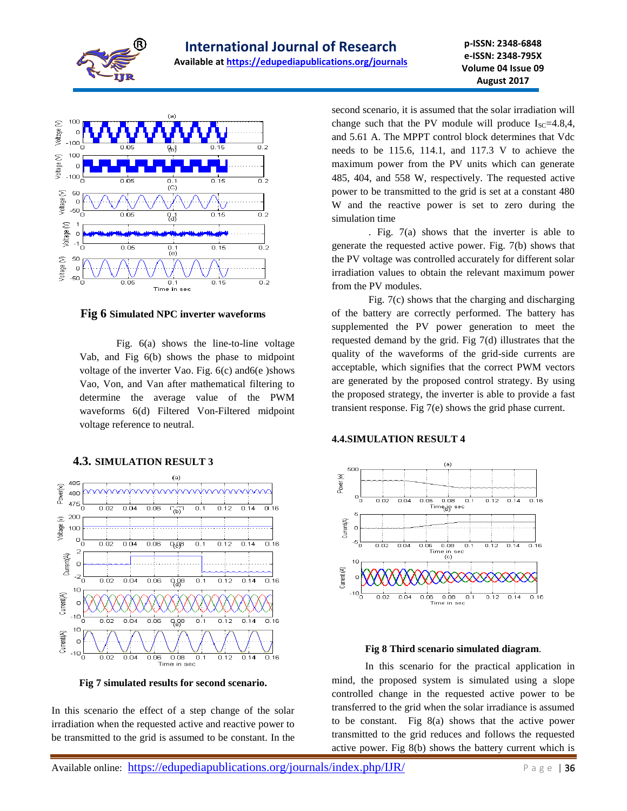



#### **Fig 6 Simulated NPC inverter waveforms**

Fig. 6(a) shows the line-to-line voltage Vab, and Fig 6(b) shows the phase to midpoint voltage of the inverter Vao. Fig. 6(c) and6(e )shows Vao, Von, and Van after mathematical filtering to determine the average value of the PWM waveforms 6(d) Filtered Von-Filtered midpoint voltage reference to neutral.



#### **4.3. SIMULATION RESULT 3**

**Fig 7 simulated results for second scenario.**

In this scenario the effect of a step change of the solar irradiation when the requested active and reactive power to be transmitted to the grid is assumed to be constant. In the second scenario, it is assumed that the solar irradiation will change such that the PV module will produce  $I_{SC} = 4.8,4$ , and 5.61 A. The MPPT control block determines that Vdc needs to be 115.6, 114.1, and 117.3 V to achieve the maximum power from the PV units which can generate 485, 404, and 558 W, respectively. The requested active power to be transmitted to the grid is set at a constant 480 W and the reactive power is set to zero during the simulation time

. Fig. 7(a) shows that the inverter is able to generate the requested active power. Fig. 7(b) shows that the PV voltage was controlled accurately for different solar irradiation values to obtain the relevant maximum power from the PV modules.

Fig. 7(c) shows that the charging and discharging of the battery are correctly performed. The battery has supplemented the PV power generation to meet the requested demand by the grid. Fig 7(d) illustrates that the quality of the waveforms of the grid-side currents are acceptable, which signifies that the correct PWM vectors are generated by the proposed control strategy. By using the proposed strategy, the inverter is able to provide a fast transient response. Fig 7(e) shows the grid phase current.

#### **4.4.SIMULATION RESULT 4**



#### **Fig 8 Third scenario simulated diagram**.

 In this scenario for the practical application in mind, the proposed system is simulated using a slope controlled change in the requested active power to be transferred to the grid when the solar irradiance is assumed to be constant. Fig 8(a) shows that the active power transmitted to the grid reduces and follows the requested active power. Fig 8(b) shows the battery current which is